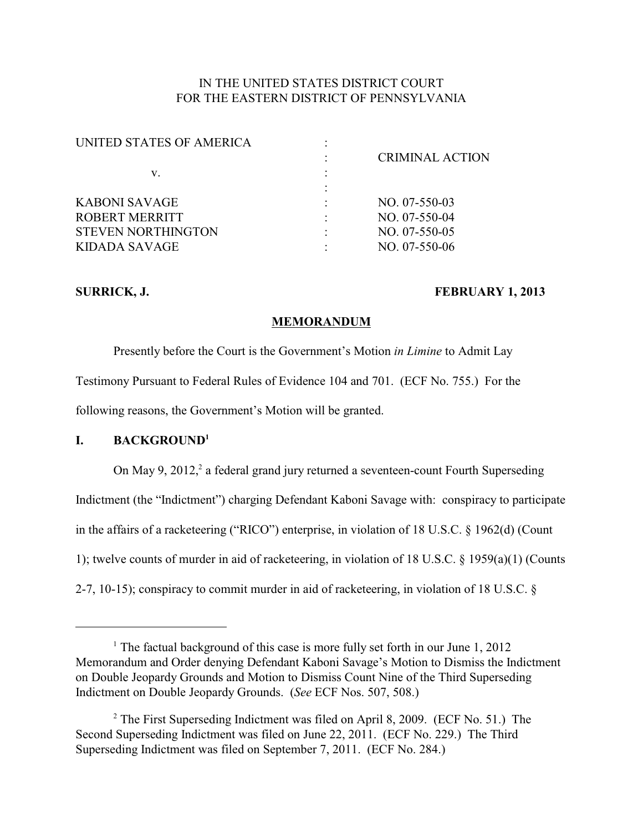# IN THE UNITED STATES DISTRICT COURT FOR THE EASTERN DISTRICT OF PENNSYLVANIA

| UNITED STATES OF AMERICA  |                        |
|---------------------------|------------------------|
|                           | <b>CRIMINAL ACTION</b> |
| v.                        |                        |
|                           |                        |
| KABONI SAVAGE             | $NO. 07-550-03$        |
| ROBERT MERRITT            | $NO. 07-550-04$        |
| <b>STEVEN NORTHINGTON</b> | $NO. 07-550-05$        |
| KIDADA SAVAGE             | NO. 07-550-06          |
|                           |                        |

## SURRICK, J. **FEBRUARY 1, 2013**

## **MEMORANDUM**

Presently before the Court is the Government's Motion *in Limine* to Admit Lay Testimony Pursuant to Federal Rules of Evidence 104 and 701. (ECF No. 755.) For the following reasons, the Government's Motion will be granted.

# **I. BACKGROUND<sup>1</sup>**

On May 9, 2012,<sup>2</sup> a federal grand jury returned a seventeen-count Fourth Superseding Indictment (the "Indictment") charging Defendant Kaboni Savage with: conspiracy to participate in the affairs of a racketeering ("RICO") enterprise, in violation of 18 U.S.C. § 1962(d) (Count 1); twelve counts of murder in aid of racketeering, in violation of 18 U.S.C. § 1959(a)(1) (Counts 2-7, 10-15); conspiracy to commit murder in aid of racketeering, in violation of 18 U.S.C. §

<sup>&</sup>lt;sup>1</sup> The factual background of this case is more fully set forth in our June 1, 2012 Memorandum and Order denying Defendant Kaboni Savage's Motion to Dismiss the Indictment on Double Jeopardy Grounds and Motion to Dismiss Count Nine of the Third Superseding Indictment on Double Jeopardy Grounds. (*See* ECF Nos. 507, 508.)

 $2$  The First Superseding Indictment was filed on April 8, 2009. (ECF No. 51.) The Second Superseding Indictment was filed on June 22, 2011. (ECF No. 229.) The Third Superseding Indictment was filed on September 7, 2011. (ECF No. 284.)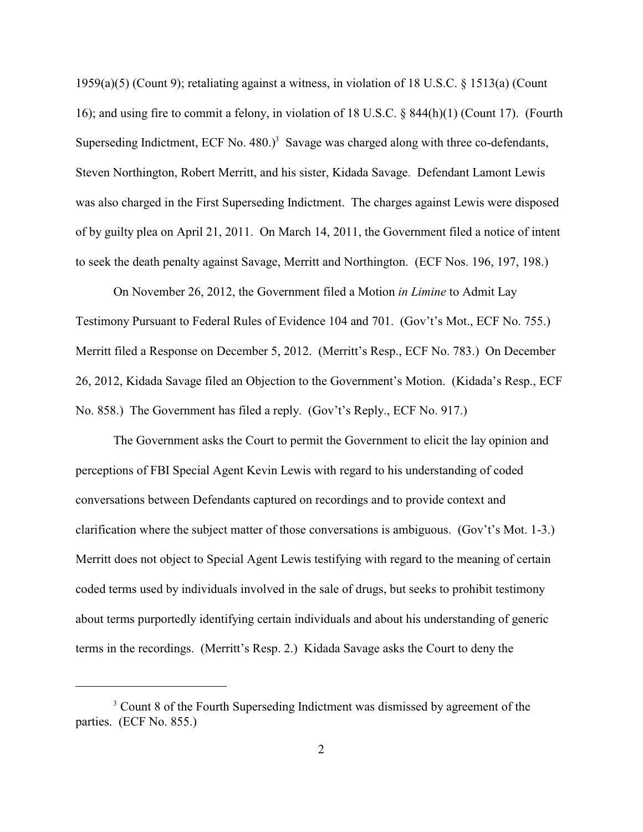1959(a)(5) (Count 9); retaliating against a witness, in violation of 18 U.S.C. § 1513(a) (Count 16); and using fire to commit a felony, in violation of 18 U.S.C. § 844(h)(1) (Count 17). (Fourth Superseding Indictment, ECF No.  $480.$ <sup>3</sup> Savage was charged along with three co-defendants, Steven Northington, Robert Merritt, and his sister, Kidada Savage. Defendant Lamont Lewis was also charged in the First Superseding Indictment. The charges against Lewis were disposed of by guilty plea on April 21, 2011. On March 14, 2011, the Government filed a notice of intent to seek the death penalty against Savage, Merritt and Northington. (ECF Nos. 196, 197, 198.)

On November 26, 2012, the Government filed a Motion *in Limine* to Admit Lay Testimony Pursuant to Federal Rules of Evidence 104 and 701. (Gov't's Mot., ECF No. 755.) Merritt filed a Response on December 5, 2012. (Merritt's Resp., ECF No. 783.) On December 26, 2012, Kidada Savage filed an Objection to the Government's Motion. (Kidada's Resp., ECF No. 858.) The Government has filed a reply. (Gov't's Reply., ECF No. 917.)

The Government asks the Court to permit the Government to elicit the lay opinion and perceptions of FBI Special Agent Kevin Lewis with regard to his understanding of coded conversations between Defendants captured on recordings and to provide context and clarification where the subject matter of those conversations is ambiguous. (Gov't's Mot. 1-3.) Merritt does not object to Special Agent Lewis testifying with regard to the meaning of certain coded terms used by individuals involved in the sale of drugs, but seeks to prohibit testimony about terms purportedly identifying certain individuals and about his understanding of generic terms in the recordings. (Merritt's Resp. 2.) Kidada Savage asks the Court to deny the

<sup>&</sup>lt;sup>3</sup> Count 8 of the Fourth Superseding Indictment was dismissed by agreement of the parties. (ECF No. 855.)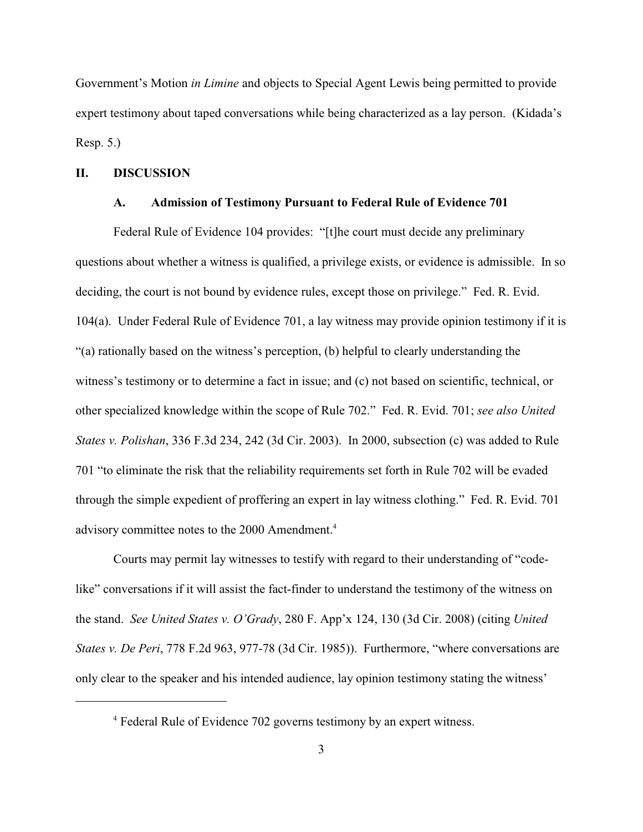Government's Motion *in Limine* and objects to Special Agent Lewis being permitted to provide expert testimony about taped conversations while being characterized as a lay person. (Kidada's Resp. 5.)

## **II. DISCUSSION**

#### **A. Admission of Testimony Pursuant to Federal Rule of Evidence 701**

Federal Rule of Evidence 104 provides: "[t]he court must decide any preliminary questions about whether a witness is qualified, a privilege exists, or evidence is admissible. In so deciding, the court is not bound by evidence rules, except those on privilege." Fed. R. Evid. 104(a). Under Federal Rule of Evidence 701, a lay witness may provide opinion testimony if it is "(a) rationally based on the witness's perception, (b) helpful to clearly understanding the witness's testimony or to determine a fact in issue; and (c) not based on scientific, technical, or other specialized knowledge within the scope of Rule 702." Fed. R. Evid. 701; *see also United States v. Polishan*, 336 F.3d 234, 242 (3d Cir. 2003). In 2000, subsection (c) was added to Rule 701 "to eliminate the risk that the reliability requirements set forth in Rule 702 will be evaded through the simple expedient of proffering an expert in lay witness clothing." Fed. R. Evid. 701 advisory committee notes to the 2000 Amendment.<sup>4</sup>

Courts may permit lay witnesses to testify with regard to their understanding of "codelike" conversations if it will assist the fact-finder to understand the testimony of the witness on the stand. *See United States v. O'Grady*, 280 F. App'x 124, 130 (3d Cir. 2008) (citing *United States v. De Peri*, 778 F.2d 963, 977-78 (3d Cir. 1985)). Furthermore, "where conversations are only clear to the speaker and his intended audience, lay opinion testimony stating the witness'

<sup>&</sup>lt;sup>4</sup> Federal Rule of Evidence 702 governs testimony by an expert witness.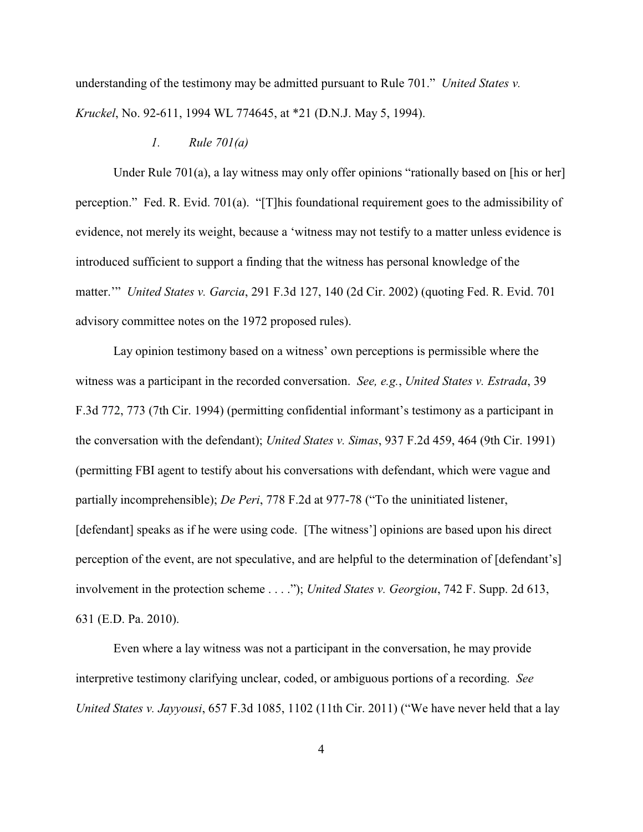understanding of the testimony may be admitted pursuant to Rule 701." *United States v. Kruckel*, No. 92-611, 1994 WL 774645, at \*21 (D.N.J. May 5, 1994).

### *1. Rule 701(a)*

Under Rule 701(a), a lay witness may only offer opinions "rationally based on [his or her] perception." Fed. R. Evid. 701(a). "[T]his foundational requirement goes to the admissibility of evidence, not merely its weight, because a 'witness may not testify to a matter unless evidence is introduced sufficient to support a finding that the witness has personal knowledge of the matter.'" *United States v. Garcia*, 291 F.3d 127, 140 (2d Cir. 2002) (quoting Fed. R. Evid. 701 advisory committee notes on the 1972 proposed rules).

Lay opinion testimony based on a witness' own perceptions is permissible where the witness was a participant in the recorded conversation. *See, e.g.*, *United States v. Estrada*, 39 F.3d 772, 773 (7th Cir. 1994) (permitting confidential informant's testimony as a participant in the conversation with the defendant); *United States v. Simas*, 937 F.2d 459, 464 (9th Cir. 1991) (permitting FBI agent to testify about his conversations with defendant, which were vague and partially incomprehensible); *De Peri*, 778 F.2d at 977-78 ("To the uninitiated listener, [defendant] speaks as if he were using code. [The witness'] opinions are based upon his direct perception of the event, are not speculative, and are helpful to the determination of [defendant's] involvement in the protection scheme . . . ."); *United States v. Georgiou*, 742 F. Supp. 2d 613, 631 (E.D. Pa. 2010).

Even where a lay witness was not a participant in the conversation, he may provide interpretive testimony clarifying unclear, coded, or ambiguous portions of a recording. *See United States v. Jayyousi*, 657 F.3d 1085, 1102 (11th Cir. 2011) ("We have never held that a lay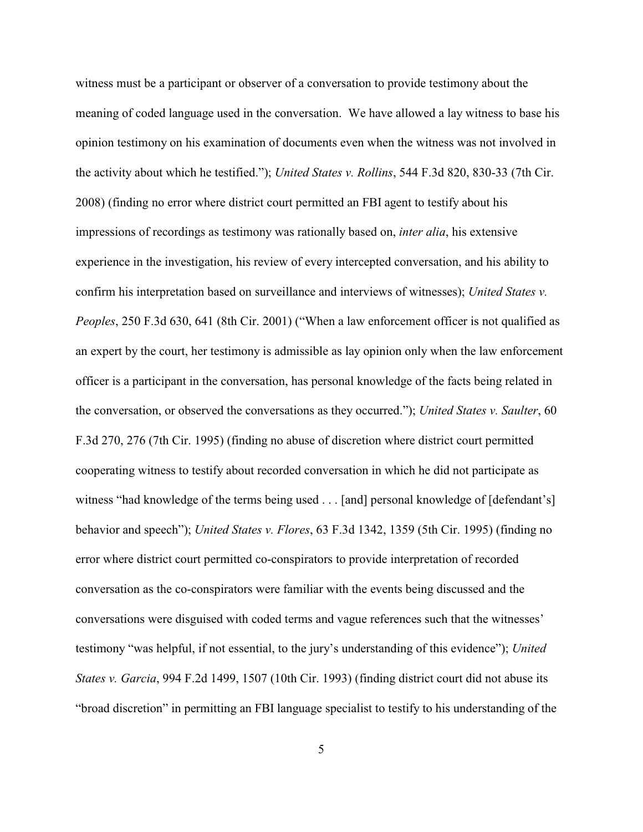witness must be a participant or observer of a conversation to provide testimony about the meaning of coded language used in the conversation. We have allowed a lay witness to base his opinion testimony on his examination of documents even when the witness was not involved in the activity about which he testified."); *United States v. Rollins*, 544 F.3d 820, 830-33 (7th Cir. 2008) (finding no error where district court permitted an FBI agent to testify about his impressions of recordings as testimony was rationally based on, *inter alia*, his extensive experience in the investigation, his review of every intercepted conversation, and his ability to confirm his interpretation based on surveillance and interviews of witnesses); *United States v. Peoples*, 250 F.3d 630, 641 (8th Cir. 2001) ("When a law enforcement officer is not qualified as an expert by the court, her testimony is admissible as lay opinion only when the law enforcement officer is a participant in the conversation, has personal knowledge of the facts being related in the conversation, or observed the conversations as they occurred."); *United States v. Saulter*, 60 F.3d 270, 276 (7th Cir. 1995) (finding no abuse of discretion where district court permitted cooperating witness to testify about recorded conversation in which he did not participate as witness "had knowledge of the terms being used . . . [and] personal knowledge of [defendant's] behavior and speech"); *United States v. Flores*, 63 F.3d 1342, 1359 (5th Cir. 1995) (finding no error where district court permitted co-conspirators to provide interpretation of recorded conversation as the co-conspirators were familiar with the events being discussed and the conversations were disguised with coded terms and vague references such that the witnesses' testimony "was helpful, if not essential, to the jury's understanding of this evidence"); *United States v. Garcia*, 994 F.2d 1499, 1507 (10th Cir. 1993) (finding district court did not abuse its "broad discretion" in permitting an FBI language specialist to testify to his understanding of the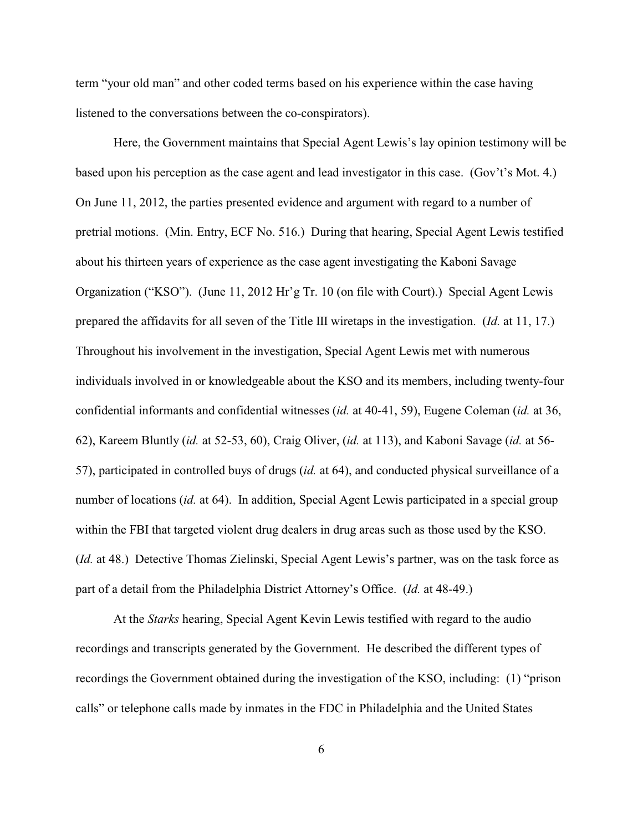term "your old man" and other coded terms based on his experience within the case having listened to the conversations between the co-conspirators).

Here, the Government maintains that Special Agent Lewis's lay opinion testimony will be based upon his perception as the case agent and lead investigator in this case. (Gov't's Mot. 4.) On June 11, 2012, the parties presented evidence and argument with regard to a number of pretrial motions. (Min. Entry, ECF No. 516.) During that hearing, Special Agent Lewis testified about his thirteen years of experience as the case agent investigating the Kaboni Savage Organization ("KSO"). (June 11, 2012 Hr'g Tr. 10 (on file with Court).) Special Agent Lewis prepared the affidavits for all seven of the Title III wiretaps in the investigation. (*Id.* at 11, 17.) Throughout his involvement in the investigation, Special Agent Lewis met with numerous individuals involved in or knowledgeable about the KSO and its members, including twenty-four confidential informants and confidential witnesses (*id.* at 40-41, 59), Eugene Coleman (*id.* at 36, 62), Kareem Bluntly (*id.* at 52-53, 60), Craig Oliver, (*id.* at 113), and Kaboni Savage (*id.* at 56- 57), participated in controlled buys of drugs (*id.* at 64), and conducted physical surveillance of a number of locations (*id.* at 64). In addition, Special Agent Lewis participated in a special group within the FBI that targeted violent drug dealers in drug areas such as those used by the KSO. (*Id.* at 48.) Detective Thomas Zielinski, Special Agent Lewis's partner, was on the task force as part of a detail from the Philadelphia District Attorney's Office. (*Id.* at 48-49.)

At the *Starks* hearing, Special Agent Kevin Lewis testified with regard to the audio recordings and transcripts generated by the Government. He described the different types of recordings the Government obtained during the investigation of the KSO, including: (1) "prison calls" or telephone calls made by inmates in the FDC in Philadelphia and the United States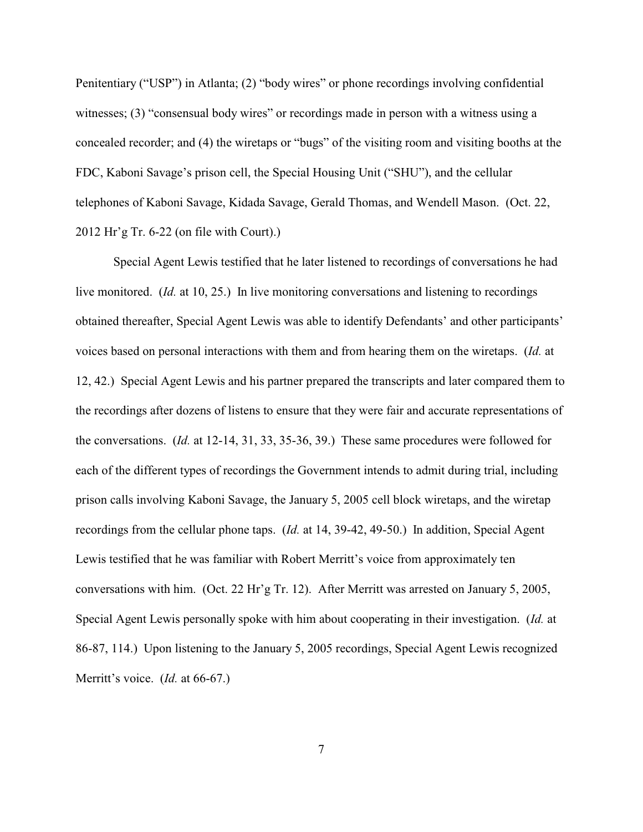Penitentiary ("USP") in Atlanta; (2) "body wires" or phone recordings involving confidential witnesses; (3) "consensual body wires" or recordings made in person with a witness using a concealed recorder; and (4) the wiretaps or "bugs" of the visiting room and visiting booths at the FDC, Kaboni Savage's prison cell, the Special Housing Unit ("SHU"), and the cellular telephones of Kaboni Savage, Kidada Savage, Gerald Thomas, and Wendell Mason. (Oct. 22, 2012 Hr'g Tr. 6-22 (on file with Court).)

Special Agent Lewis testified that he later listened to recordings of conversations he had live monitored. (*Id.* at 10, 25.) In live monitoring conversations and listening to recordings obtained thereafter, Special Agent Lewis was able to identify Defendants' and other participants' voices based on personal interactions with them and from hearing them on the wiretaps. (*Id.* at 12, 42.) Special Agent Lewis and his partner prepared the transcripts and later compared them to the recordings after dozens of listens to ensure that they were fair and accurate representations of the conversations. (*Id.* at 12-14, 31, 33, 35-36, 39.) These same procedures were followed for each of the different types of recordings the Government intends to admit during trial, including prison calls involving Kaboni Savage, the January 5, 2005 cell block wiretaps, and the wiretap recordings from the cellular phone taps. (*Id.* at 14, 39-42, 49-50.) In addition, Special Agent Lewis testified that he was familiar with Robert Merritt's voice from approximately ten conversations with him. (Oct. 22 Hr'g Tr. 12). After Merritt was arrested on January 5, 2005, Special Agent Lewis personally spoke with him about cooperating in their investigation. (*Id.* at 86-87, 114.) Upon listening to the January 5, 2005 recordings, Special Agent Lewis recognized Merritt's voice. (*Id.* at 66-67.)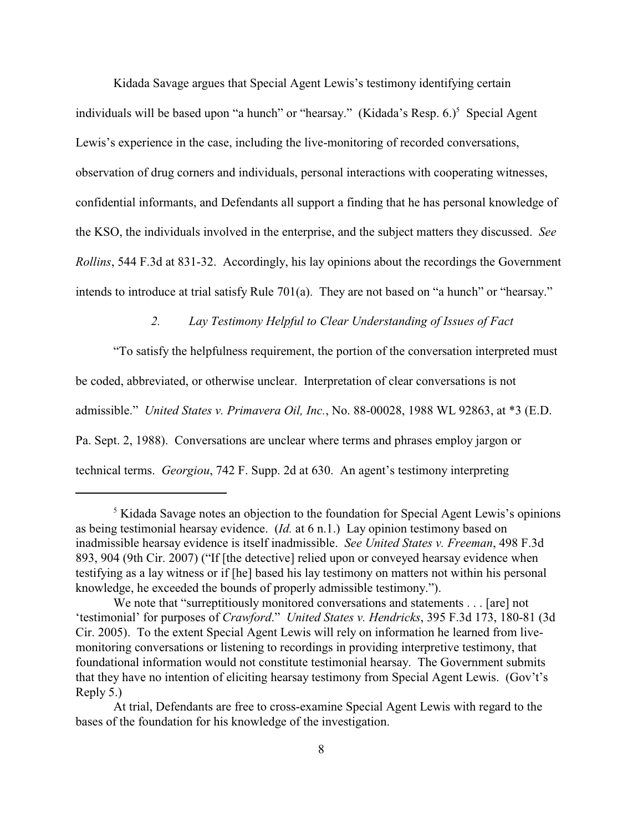Kidada Savage argues that Special Agent Lewis's testimony identifying certain individuals will be based upon "a hunch" or "hearsay." (Kidada's Resp.  $6.$ )<sup>5</sup> Special Agent Lewis's experience in the case, including the live-monitoring of recorded conversations, observation of drug corners and individuals, personal interactions with cooperating witnesses, confidential informants, and Defendants all support a finding that he has personal knowledge of the KSO, the individuals involved in the enterprise, and the subject matters they discussed. *See Rollins*, 544 F.3d at 831-32. Accordingly, his lay opinions about the recordings the Government intends to introduce at trial satisfy Rule 701(a). They are not based on "a hunch" or "hearsay."

# *2. Lay Testimony Helpful to Clear Understanding of Issues of Fact*

"To satisfy the helpfulness requirement, the portion of the conversation interpreted must be coded, abbreviated, or otherwise unclear. Interpretation of clear conversations is not admissible." *United States v. Primavera Oil, Inc.*, No. 88-00028, 1988 WL 92863, at \*3 (E.D. Pa. Sept. 2, 1988). Conversations are unclear where terms and phrases employ jargon or technical terms. *Georgiou*, 742 F. Supp. 2d at 630. An agent's testimony interpreting

 $<sup>5</sup>$  Kidada Savage notes an objection to the foundation for Special Agent Lewis's opinions</sup> as being testimonial hearsay evidence. (*Id.* at 6 n.1.) Lay opinion testimony based on inadmissible hearsay evidence is itself inadmissible. *See United States v. Freeman*, 498 F.3d 893, 904 (9th Cir. 2007) ("If [the detective] relied upon or conveyed hearsay evidence when testifying as a lay witness or if [he] based his lay testimony on matters not within his personal knowledge, he exceeded the bounds of properly admissible testimony.").

We note that "surreptitiously monitored conversations and statements . . . [are] not 'testimonial' for purposes of *Crawford*." *United States v. Hendricks*, 395 F.3d 173, 180-81 (3d Cir. 2005). To the extent Special Agent Lewis will rely on information he learned from livemonitoring conversations or listening to recordings in providing interpretive testimony, that foundational information would not constitute testimonial hearsay. The Government submits that they have no intention of eliciting hearsay testimony from Special Agent Lewis. (Gov't's Reply 5.)

At trial, Defendants are free to cross-examine Special Agent Lewis with regard to the bases of the foundation for his knowledge of the investigation.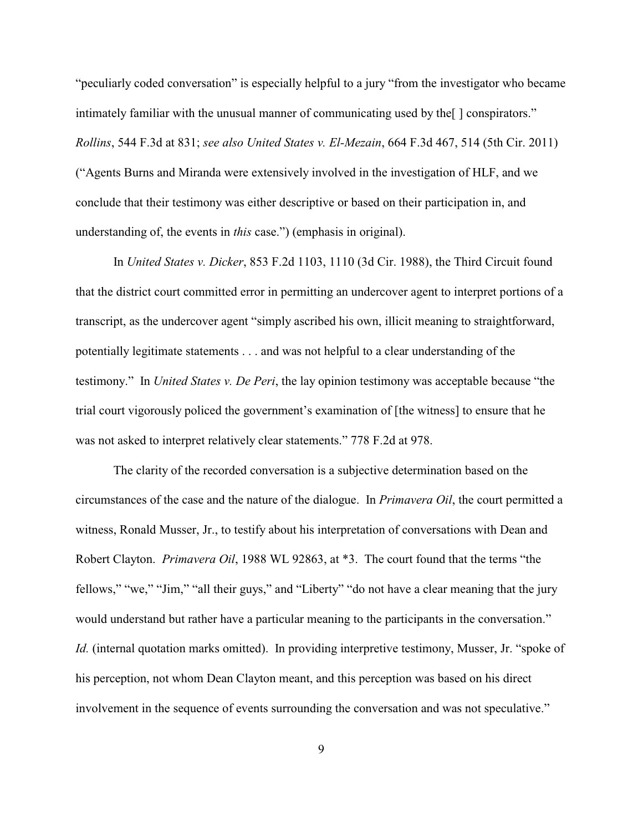"peculiarly coded conversation" is especially helpful to a jury "from the investigator who became intimately familiar with the unusual manner of communicating used by the[ ] conspirators." *Rollins*, 544 F.3d at 831; *see also United States v. El-Mezain*, 664 F.3d 467, 514 (5th Cir. 2011) ("Agents Burns and Miranda were extensively involved in the investigation of HLF, and we conclude that their testimony was either descriptive or based on their participation in, and understanding of, the events in *this* case.") (emphasis in original).

In *United States v. Dicker*, 853 F.2d 1103, 1110 (3d Cir. 1988), the Third Circuit found that the district court committed error in permitting an undercover agent to interpret portions of a transcript, as the undercover agent "simply ascribed his own, illicit meaning to straightforward, potentially legitimate statements . . . and was not helpful to a clear understanding of the testimony." In *United States v. De Peri*, the lay opinion testimony was acceptable because "the trial court vigorously policed the government's examination of [the witness] to ensure that he was not asked to interpret relatively clear statements." 778 F.2d at 978.

The clarity of the recorded conversation is a subjective determination based on the circumstances of the case and the nature of the dialogue. In *Primavera Oil*, the court permitted a witness, Ronald Musser, Jr., to testify about his interpretation of conversations with Dean and Robert Clayton. *Primavera Oil*, 1988 WL 92863, at \*3. The court found that the terms "the fellows," "we," "Jim," "all their guys," and "Liberty" "do not have a clear meaning that the jury would understand but rather have a particular meaning to the participants in the conversation." *Id.* (internal quotation marks omitted). In providing interpretive testimony, Musser, Jr. "spoke of his perception, not whom Dean Clayton meant, and this perception was based on his direct involvement in the sequence of events surrounding the conversation and was not speculative."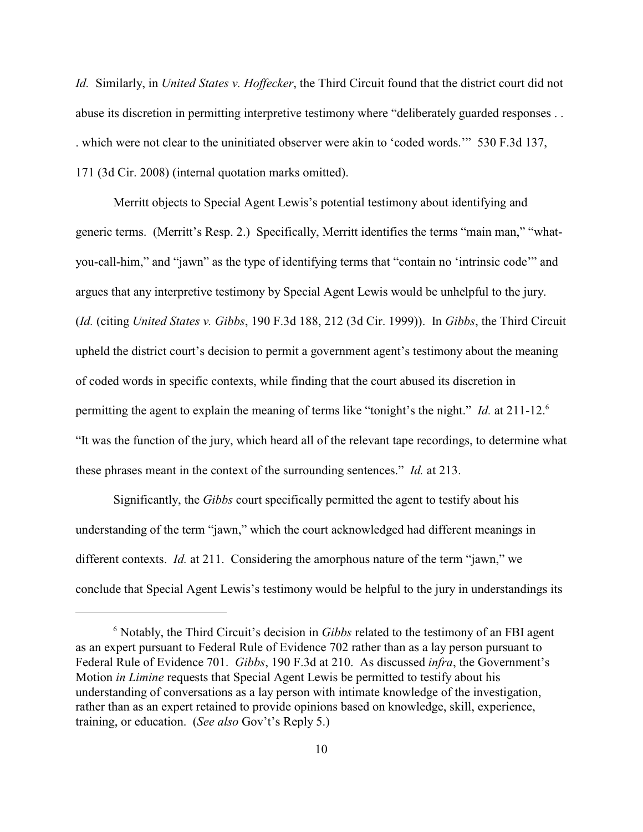*Id.* Similarly, in *United States v. Hoffecker*, the Third Circuit found that the district court did not abuse its discretion in permitting interpretive testimony where "deliberately guarded responses . . . which were not clear to the uninitiated observer were akin to 'coded words.'" 530 F.3d 137, 171 (3d Cir. 2008) (internal quotation marks omitted).

Merritt objects to Special Agent Lewis's potential testimony about identifying and generic terms. (Merritt's Resp. 2.) Specifically, Merritt identifies the terms "main man," "whatyou-call-him," and "jawn" as the type of identifying terms that "contain no 'intrinsic code'" and argues that any interpretive testimony by Special Agent Lewis would be unhelpful to the jury. (*Id.* (citing *United States v. Gibbs*, 190 F.3d 188, 212 (3d Cir. 1999)). In *Gibbs*, the Third Circuit upheld the district court's decision to permit a government agent's testimony about the meaning of coded words in specific contexts, while finding that the court abused its discretion in permitting the agent to explain the meaning of terms like "tonight's the night." *Id.* at 211-12.<sup>6</sup> "It was the function of the jury, which heard all of the relevant tape recordings, to determine what these phrases meant in the context of the surrounding sentences." *Id.* at 213.

Significantly, the *Gibbs* court specifically permitted the agent to testify about his understanding of the term "jawn," which the court acknowledged had different meanings in different contexts. *Id.* at 211. Considering the amorphous nature of the term "jawn," we conclude that Special Agent Lewis's testimony would be helpful to the jury in understandings its

<sup>&</sup>lt;sup>6</sup> Notably, the Third Circuit's decision in *Gibbs* related to the testimony of an FBI agent as an expert pursuant to Federal Rule of Evidence 702 rather than as a lay person pursuant to Federal Rule of Evidence 701. *Gibbs*, 190 F.3d at 210. As discussed *infra*, the Government's Motion *in Limine* requests that Special Agent Lewis be permitted to testify about his understanding of conversations as a lay person with intimate knowledge of the investigation, rather than as an expert retained to provide opinions based on knowledge, skill, experience, training, or education. (*See also* Gov't's Reply 5.)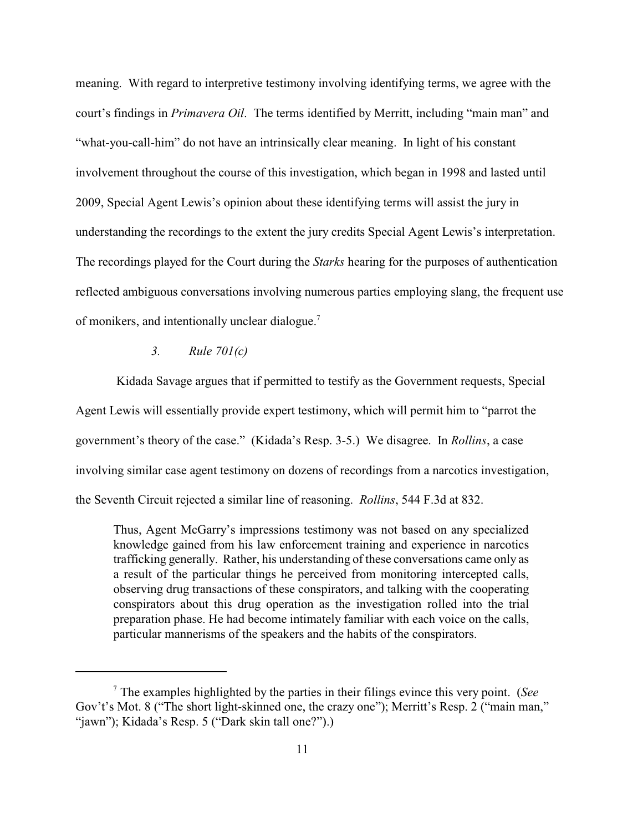meaning. With regard to interpretive testimony involving identifying terms, we agree with the court's findings in *Primavera Oil*. The terms identified by Merritt, including "main man" and "what-you-call-him" do not have an intrinsically clear meaning. In light of his constant involvement throughout the course of this investigation, which began in 1998 and lasted until 2009, Special Agent Lewis's opinion about these identifying terms will assist the jury in understanding the recordings to the extent the jury credits Special Agent Lewis's interpretation. The recordings played for the Court during the *Starks* hearing for the purposes of authentication reflected ambiguous conversations involving numerous parties employing slang, the frequent use of monikers, and intentionally unclear dialogue.<sup>7</sup>

### *3. Rule 701(c)*

 Kidada Savage argues that if permitted to testify as the Government requests, Special Agent Lewis will essentially provide expert testimony, which will permit him to "parrot the government's theory of the case." (Kidada's Resp. 3-5.) We disagree. In *Rollins*, a case involving similar case agent testimony on dozens of recordings from a narcotics investigation, the Seventh Circuit rejected a similar line of reasoning. *Rollins*, 544 F.3d at 832.

Thus, Agent McGarry's impressions testimony was not based on any specialized knowledge gained from his law enforcement training and experience in narcotics trafficking generally. Rather, his understanding of these conversations came only as a result of the particular things he perceived from monitoring intercepted calls, observing drug transactions of these conspirators, and talking with the cooperating conspirators about this drug operation as the investigation rolled into the trial preparation phase. He had become intimately familiar with each voice on the calls, particular mannerisms of the speakers and the habits of the conspirators.

The examples highlighted by the parties in their filings evince this very point. (*See* <sup>7</sup> Gov't's Mot. 8 ("The short light-skinned one, the crazy one"); Merritt's Resp. 2 ("main man," "jawn"); Kidada's Resp. 5 ("Dark skin tall one?").)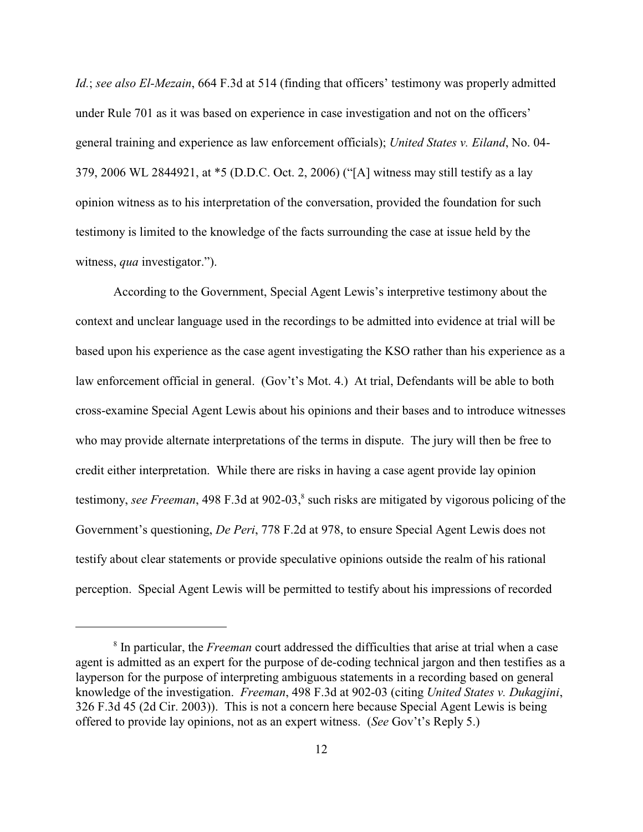*Id.*; *see also El-Mezain*, 664 F.3d at 514 (finding that officers' testimony was properly admitted under Rule 701 as it was based on experience in case investigation and not on the officers' general training and experience as law enforcement officials); *United States v. Eiland*, No. 04- 379, 2006 WL 2844921, at \*5 (D.D.C. Oct. 2, 2006) ("[A] witness may still testify as a lay opinion witness as to his interpretation of the conversation, provided the foundation for such testimony is limited to the knowledge of the facts surrounding the case at issue held by the witness, *qua* investigator.").

According to the Government, Special Agent Lewis's interpretive testimony about the context and unclear language used in the recordings to be admitted into evidence at trial will be based upon his experience as the case agent investigating the KSO rather than his experience as a law enforcement official in general. (Gov't's Mot. 4.) At trial, Defendants will be able to both cross-examine Special Agent Lewis about his opinions and their bases and to introduce witnesses who may provide alternate interpretations of the terms in dispute. The jury will then be free to credit either interpretation. While there are risks in having a case agent provide lay opinion testimony, *see Freeman*, 498 F.3d at 902-03,<sup>8</sup> such risks are mitigated by vigorous policing of the Government's questioning, *De Peri*, 778 F.2d at 978, to ensure Special Agent Lewis does not testify about clear statements or provide speculative opinions outside the realm of his rational perception. Special Agent Lewis will be permitted to testify about his impressions of recorded

<sup>&</sup>lt;sup>8</sup> In particular, the *Freeman* court addressed the difficulties that arise at trial when a case agent is admitted as an expert for the purpose of de-coding technical jargon and then testifies as a layperson for the purpose of interpreting ambiguous statements in a recording based on general knowledge of the investigation. *Freeman*, 498 F.3d at 902-03 (citing *United States v. Dukagjini*, 326 F.3d 45 (2d Cir. 2003)). This is not a concern here because Special Agent Lewis is being offered to provide lay opinions, not as an expert witness. (*See* Gov't's Reply 5.)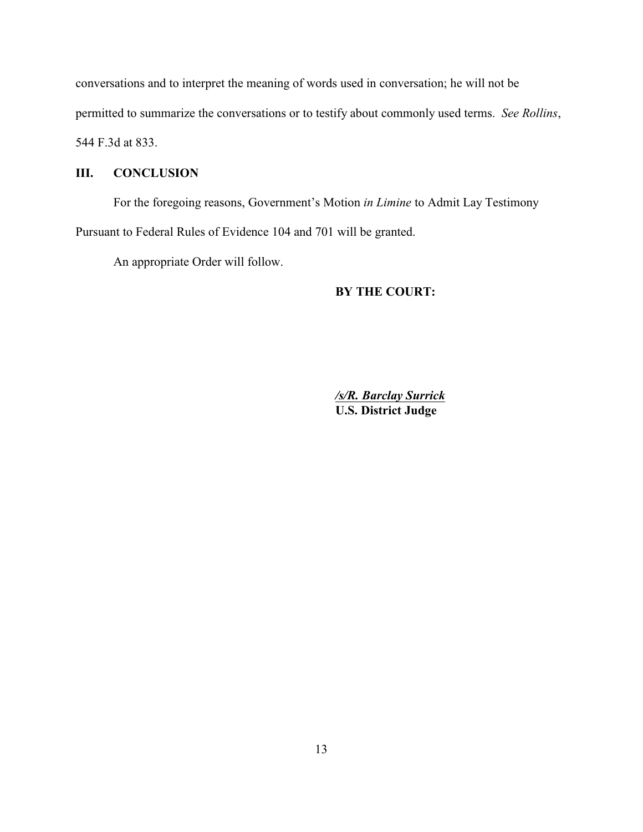conversations and to interpret the meaning of words used in conversation; he will not be permitted to summarize the conversations or to testify about commonly used terms. *See Rollins*, 544 F.3d at 833.

## **III. CONCLUSION**

For the foregoing reasons, Government's Motion *in Limine* to Admit Lay Testimony Pursuant to Federal Rules of Evidence 104 and 701 will be granted.

An appropriate Order will follow.

## **BY THE COURT:**

*/s/R. Barclay Surrick* **U.S. District Judge**